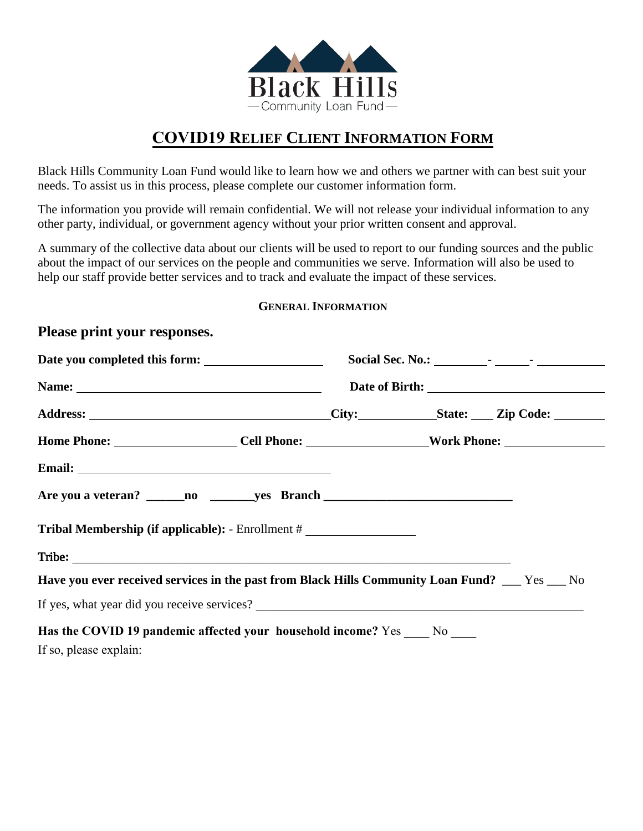

# **COVID19 RELIEF CLIENT INFORMATION FORM**

Black Hills Community Loan Fund would like to learn how we and others we partner with can best suit your needs. To assist us in this process, please complete our customer information form.

The information you provide will remain confidential. We will not release your individual information to any other party, individual, or government agency without your prior written consent and approval.

A summary of the collective data about our clients will be used to report to our funding sources and the public about the impact of our services on the people and communities we serve. Information will also be used to help our staff provide better services and to track and evaluate the impact of these services.

## **GENERAL INFORMATION**

## **Please print your responses.**

| Date you completed this form: |                                                                                                |                                                                                                      |  |  |
|-------------------------------|------------------------------------------------------------------------------------------------|------------------------------------------------------------------------------------------------------|--|--|
| Name:                         |                                                                                                |                                                                                                      |  |  |
|                               |                                                                                                |                                                                                                      |  |  |
|                               |                                                                                                | Home Phone: ______________________Cell Phone: ___________________Work Phone: _______________________ |  |  |
|                               |                                                                                                |                                                                                                      |  |  |
|                               |                                                                                                |                                                                                                      |  |  |
|                               | Tribal Membership (if applicable): - Enrollment #                                              |                                                                                                      |  |  |
|                               |                                                                                                |                                                                                                      |  |  |
|                               | Have you ever received services in the past from Black Hills Community Loan Fund? __ Yes __ No |                                                                                                      |  |  |
|                               |                                                                                                |                                                                                                      |  |  |
|                               | Has the COVID 19 pandemic affected your household income? Yes _____ No _____                   |                                                                                                      |  |  |
| If so, please explain:        |                                                                                                |                                                                                                      |  |  |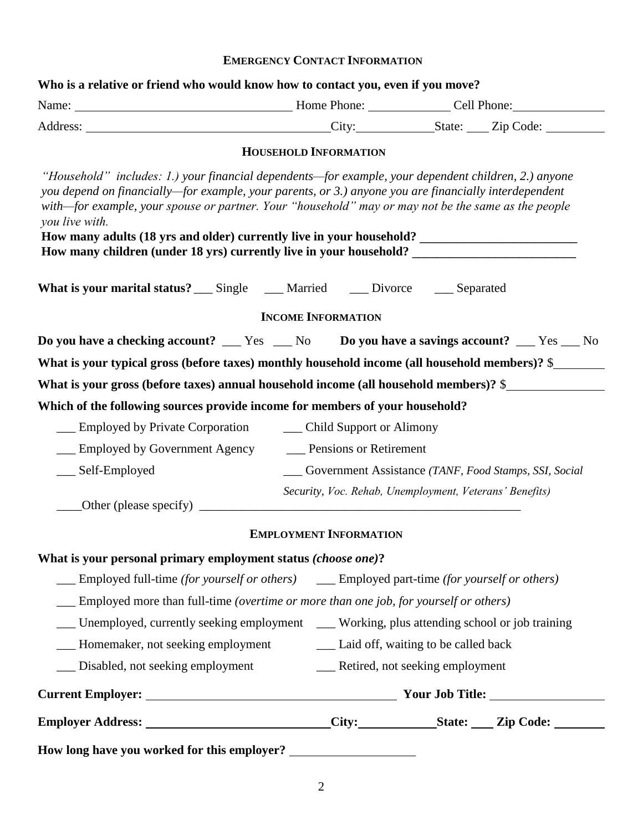## **EMERGENCY CONTACT INFORMATION**

| Name: <u>Name:</u> Home Phone: Cell Phone: Cell Phone:                                                                                                                                                                                                                                                                                                                                                                                                                                                                                                 |                                    |                                                                                                      |  |
|--------------------------------------------------------------------------------------------------------------------------------------------------------------------------------------------------------------------------------------------------------------------------------------------------------------------------------------------------------------------------------------------------------------------------------------------------------------------------------------------------------------------------------------------------------|------------------------------------|------------------------------------------------------------------------------------------------------|--|
|                                                                                                                                                                                                                                                                                                                                                                                                                                                                                                                                                        |                                    |                                                                                                      |  |
|                                                                                                                                                                                                                                                                                                                                                                                                                                                                                                                                                        | <b>HOUSEHOLD INFORMATION</b>       |                                                                                                      |  |
| "Household" includes: 1.) your financial dependents—for example, your dependent children, 2.) anyone<br>you depend on financially—for example, your parents, or 3.) anyone you are financially interdependent<br>with-for example, your spouse or partner. Your "household" may or may not be the same as the people<br>you live with.<br>How many adults (18 yrs and older) currently live in your household? _______________________________<br>How many children (under 18 yrs) currently live in your household? _________________________________ |                                    |                                                                                                      |  |
| What is your marital status? ___ Single ____ Married ____ Divorce ____ Separated                                                                                                                                                                                                                                                                                                                                                                                                                                                                       |                                    |                                                                                                      |  |
|                                                                                                                                                                                                                                                                                                                                                                                                                                                                                                                                                        | <b>INCOME INFORMATION</b>          |                                                                                                      |  |
| Do you have a checking account? __ Yes _ No Do you have a savings account? _ Yes _ No                                                                                                                                                                                                                                                                                                                                                                                                                                                                  |                                    |                                                                                                      |  |
| What is your typical gross (before taxes) monthly household income (all household members)? \$                                                                                                                                                                                                                                                                                                                                                                                                                                                         |                                    |                                                                                                      |  |
| What is your gross (before taxes) annual household income (all household members)? \$                                                                                                                                                                                                                                                                                                                                                                                                                                                                  |                                    |                                                                                                      |  |
| Which of the following sources provide income for members of your household?                                                                                                                                                                                                                                                                                                                                                                                                                                                                           |                                    |                                                                                                      |  |
| <u>Child Support or Alimony</u>                                                                                                                                                                                                                                                                                                                                                                                                                                                                                                                        |                                    |                                                                                                      |  |
| Employed by Government Agency _________ Pensions or Retirement                                                                                                                                                                                                                                                                                                                                                                                                                                                                                         |                                    |                                                                                                      |  |
| __ Self-Employed                                                                                                                                                                                                                                                                                                                                                                                                                                                                                                                                       |                                    | ___ Government Assistance (TANF, Food Stamps, SSI, Social                                            |  |
|                                                                                                                                                                                                                                                                                                                                                                                                                                                                                                                                                        |                                    | Security, Voc. Rehab, Unemployment, Veterans' Benefits)                                              |  |
|                                                                                                                                                                                                                                                                                                                                                                                                                                                                                                                                                        | <b>EMPLOYMENT INFORMATION</b>      |                                                                                                      |  |
| What is your personal primary employment status (choose one)?                                                                                                                                                                                                                                                                                                                                                                                                                                                                                          |                                    |                                                                                                      |  |
| Employed full-time (for yourself or others) ______ Employed part-time (for yourself or others)                                                                                                                                                                                                                                                                                                                                                                                                                                                         |                                    |                                                                                                      |  |
| Employed more than full-time (overtime or more than one job, for yourself or others)                                                                                                                                                                                                                                                                                                                                                                                                                                                                   |                                    |                                                                                                      |  |
| __ Unemployed, currently seeking employment __ Working, plus attending school or job training                                                                                                                                                                                                                                                                                                                                                                                                                                                          |                                    |                                                                                                      |  |
|                                                                                                                                                                                                                                                                                                                                                                                                                                                                                                                                                        |                                    |                                                                                                      |  |
| __ Disabled, not seeking employment                                                                                                                                                                                                                                                                                                                                                                                                                                                                                                                    | __ Retired, not seeking employment |                                                                                                      |  |
|                                                                                                                                                                                                                                                                                                                                                                                                                                                                                                                                                        |                                    |                                                                                                      |  |
|                                                                                                                                                                                                                                                                                                                                                                                                                                                                                                                                                        |                                    | Employer Address: ___________________________City:_____________State: ____Zip Code: ________________ |  |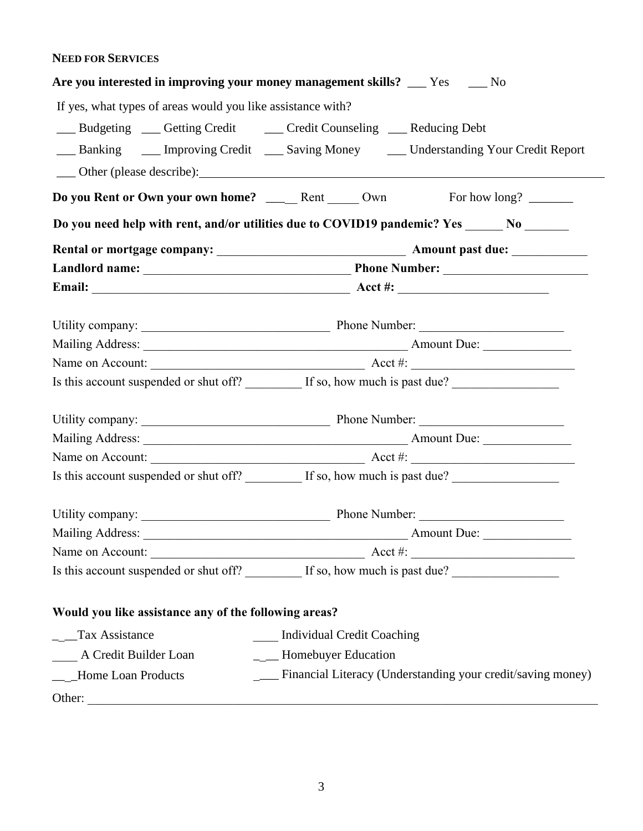## **NEED FOR SERVICES**

|                                                             | Are you interested in improving your money management skills? __ Yes __ No                          |  |  |  |
|-------------------------------------------------------------|-----------------------------------------------------------------------------------------------------|--|--|--|
| If yes, what types of areas would you like assistance with? |                                                                                                     |  |  |  |
|                                                             | __ Budgeting __ Getting Credit __ Credit Counseling __ Reducing Debt                                |  |  |  |
|                                                             | __ Banking ____ Improving Credit ___ Saving Money ____ Understanding Your Credit Report             |  |  |  |
|                                                             |                                                                                                     |  |  |  |
|                                                             | Do you Rent or Own your own home? ____Rent ____Own For how long? ______                             |  |  |  |
|                                                             | Do you need help with rent, and/or utilities due to COVID19 pandemic? Yes _______ No _______        |  |  |  |
|                                                             |                                                                                                     |  |  |  |
|                                                             |                                                                                                     |  |  |  |
|                                                             |                                                                                                     |  |  |  |
|                                                             |                                                                                                     |  |  |  |
|                                                             |                                                                                                     |  |  |  |
|                                                             |                                                                                                     |  |  |  |
|                                                             | Is this account suspended or shut off? __________ If so, how much is past due? ____________________ |  |  |  |
|                                                             |                                                                                                     |  |  |  |
|                                                             |                                                                                                     |  |  |  |
|                                                             | Name on Account: $\_\_\_\_\_\_\_\_\_\_\_\_\_\_\_\_\_\_\_\_$                                         |  |  |  |
|                                                             | Is this account suspended or shut off? _________ If so, how much is past due? _____________________ |  |  |  |
|                                                             |                                                                                                     |  |  |  |
|                                                             |                                                                                                     |  |  |  |
| Name on Account:                                            | <u> 1989 - Johann John Stein, mars ar yw Maethraethau (m. 1989)</u>                                 |  |  |  |
|                                                             | Is this account suspended or shut off? _________ If so, how much is past due? _____________________ |  |  |  |
| Would you like assistance any of the following areas?       |                                                                                                     |  |  |  |
| _ _Tax Assistance                                           | <b>Individual Credit Coaching</b>                                                                   |  |  |  |
| A Credit Builder Loan                                       | ___ Homebuyer Education                                                                             |  |  |  |
| ____Home Loan Products                                      | Financial Literacy (Understanding your credit/saving money)                                         |  |  |  |
|                                                             |                                                                                                     |  |  |  |
|                                                             |                                                                                                     |  |  |  |